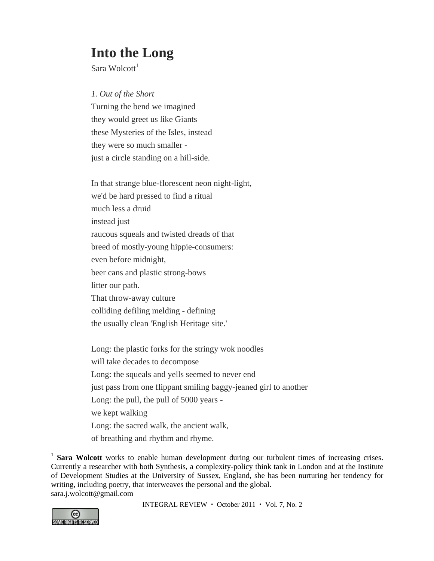## **Into the Long**

Sara Wolcott $<sup>1</sup>$ </sup>

## *1. Out of the Short*

Turning the bend we imagined they would greet us like Giants these Mysteries of the Isles, instead they were so much smaller just a circle standing on a hill-side.

In that strange blue-florescent neon night-light, we'd be hard pressed to find a ritual much less a druid instead just raucous squeals and twisted dreads of that breed of mostly-young hippie-consumers: even before midnight, beer cans and plastic strong-bows litter our path. That throw-away culture colliding defiling melding - defining the usually clean 'English Heritage site.'

Long: the plastic forks for the stringy wok noodles will take decades to decompose Long: the squeals and yells seemed to never end just pass from one flippant smiling baggy-jeaned girl to another Long: the pull, the pull of 5000 years we kept walking Long: the sacred walk, the ancient walk, of breathing and rhythm and rhyme.



 $\overline{a}$ 

<sup>&</sup>lt;sup>1</sup> **Sara Wolcott** works to enable human development during our turbulent times of increasing crises. Currently a researcher with both Synthesis, a complexity-policy think tank in London and at the Institute of Development Studies at the University of Sussex, England, she has been nurturing her tendency for writing, including poetry, that interweaves the personal and the global. sara.j.wolcott@gmail.com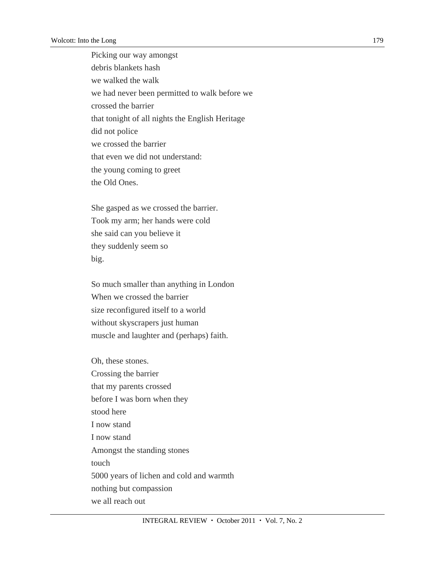Picking our way amongst debris blankets hash we walked the walk we had never been permitted to walk before we crossed the barrier that tonight of all nights the English Heritage did not police we crossed the barrier that even we did not understand: the young coming to greet the Old Ones.

She gasped as we crossed the barrier. Took my arm; her hands were cold she said can you believe it they suddenly seem so big.

So much smaller than anything in London When we crossed the barrier size reconfigured itself to a world without skyscrapers just human muscle and laughter and (perhaps) faith.

Oh, these stones. Crossing the barrier that my parents crossed before I was born when they stood here I now stand I now stand Amongst the standing stones touch 5000 years of lichen and cold and warmth nothing but compassion we all reach out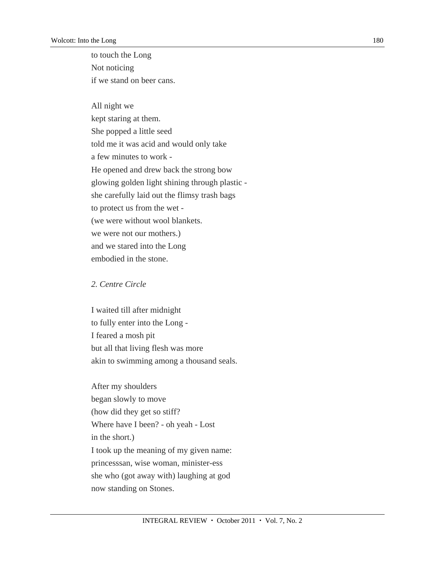to touch the Long Not noticing if we stand on beer cans.

All night we kept staring at them. She popped a little seed told me it was acid and would only take a few minutes to work - He opened and drew back the strong bow glowing golden light shining through plastic she carefully laid out the flimsy trash bags to protect us from the wet - (we were without wool blankets. we were not our mothers.) and we stared into the Long embodied in the stone.

## *2. Centre Circle*

I waited till after midnight to fully enter into the Long - I feared a mosh pit but all that living flesh was more akin to swimming among a thousand seals.

After my shoulders began slowly to move (how did they get so stiff? Where have I been? - oh yeah - Lost in the short.) I took up the meaning of my given name: princesssan, wise woman, minister-ess she who (got away with) laughing at god now standing on Stones.

180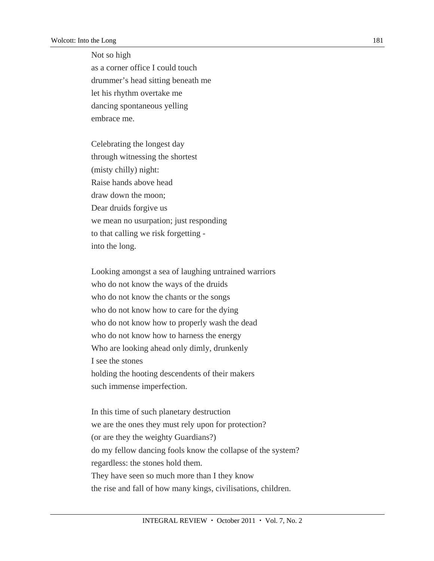Not so high

as a corner office I could touch drummer's head sitting beneath me let his rhythm overtake me dancing spontaneous yelling embrace me.

Celebrating the longest day through witnessing the shortest (misty chilly) night: Raise hands above head draw down the moon; Dear druids forgive us we mean no usurpation; just responding to that calling we risk forgetting into the long.

Looking amongst a sea of laughing untrained warriors who do not know the ways of the druids who do not know the chants or the songs who do not know how to care for the dying who do not know how to properly wash the dead who do not know how to harness the energy Who are looking ahead only dimly, drunkenly I see the stones holding the hooting descendents of their makers such immense imperfection.

In this time of such planetary destruction we are the ones they must rely upon for protection? (or are they the weighty Guardians?) do my fellow dancing fools know the collapse of the system? regardless: the stones hold them. They have seen so much more than I they know the rise and fall of how many kings, civilisations, children.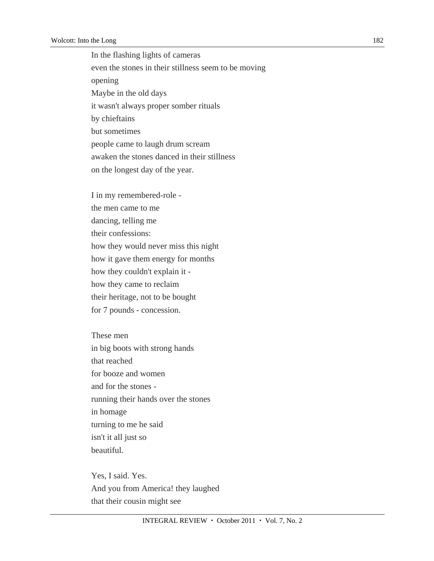In the flashing lights of cameras even the stones in their stillness seem to be moving opening Maybe in the old days it wasn't always proper somber rituals by chieftains but sometimes people came to laugh drum scream awaken the stones danced in their stillness on the longest day of the year.

I in my remembered-role the men came to me dancing, telling me their confessions: how they would never miss this night how it gave them energy for months how they couldn't explain it how they came to reclaim their heritage, not to be bought for 7 pounds - concession.

These men in big boots with strong hands that reached for booze and women and for the stones running their hands over the stones in homage turning to me he said isn't it all just so beautiful.

Yes, I said. Yes. And you from America! they laughed that their cousin might see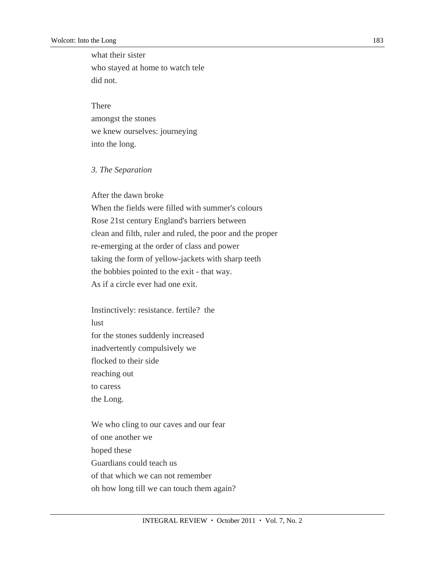what their sister who stayed at home to watch tele did not.

There

amongst the stones we knew ourselves: journeying into the long.

## *3. The Separation*

After the dawn broke

When the fields were filled with summer's colours Rose 21st century England's barriers between clean and filth, ruler and ruled, the poor and the proper re-emerging at the order of class and power taking the form of yellow-jackets with sharp teeth the bobbies pointed to the exit - that way. As if a circle ever had one exit.

Instinctively: resistance. fertile? the lust for the stones suddenly increased inadvertently compulsively we flocked to their side reaching out to caress the Long.

We who cling to our caves and our fear of one another we hoped these Guardians could teach us of that which we can not remember oh how long till we can touch them again?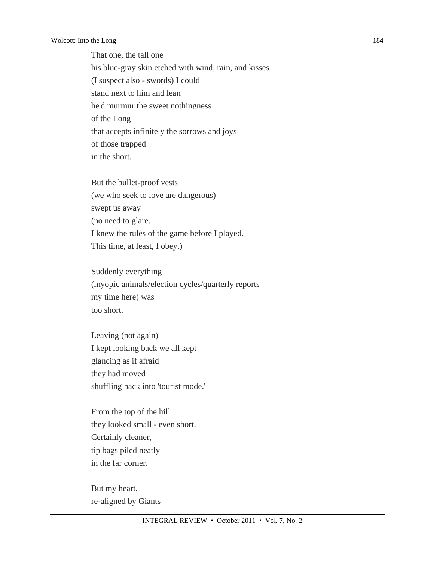That one, the tall one his blue-gray skin etched with wind, rain, and kisses (I suspect also - swords) I could stand next to him and lean he'd murmur the sweet nothingness of the Long that accepts infinitely the sorrows and joys of those trapped in the short.

But the bullet-proof vests (we who seek to love are dangerous) swept us away (no need to glare. I knew the rules of the game before I played. This time, at least, I obey.)

Suddenly everything (myopic animals/election cycles/quarterly reports my time here) was too short.

Leaving (not again) I kept looking back we all kept glancing as if afraid they had moved shuffling back into 'tourist mode.'

From the top of the hill they looked small - even short. Certainly cleaner, tip bags piled neatly in the far corner.

But my heart, re-aligned by Giants